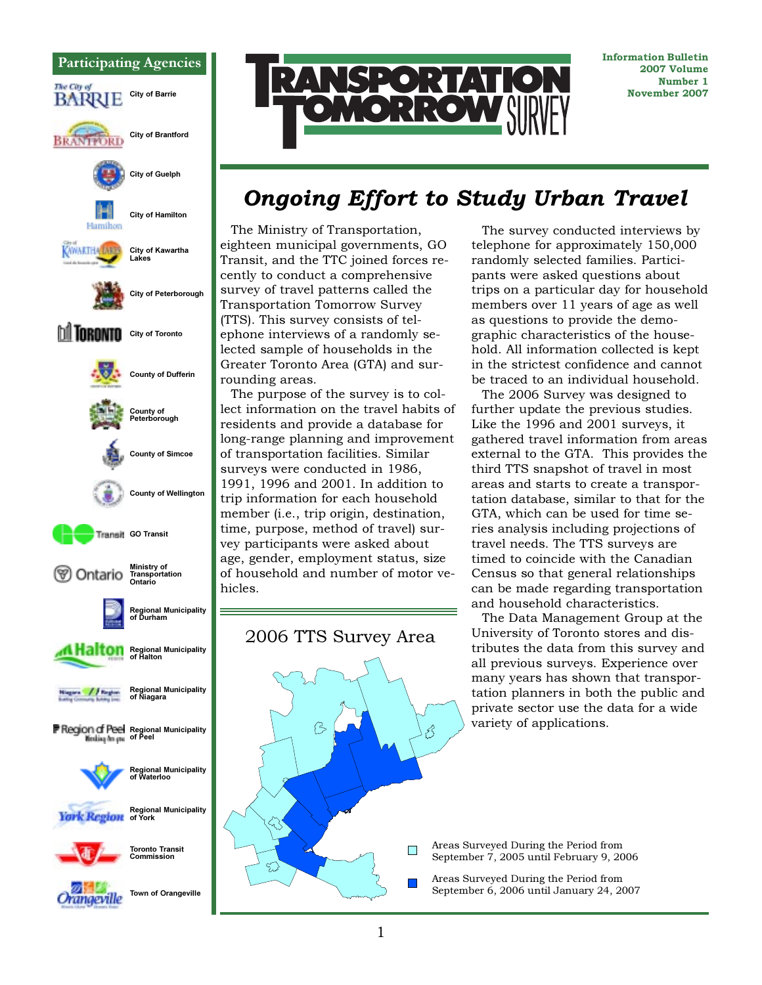



Information Bulletin 2007 Volume Number 1 November 2007

# Ongoing Effort to Study Urban Travel

The Ministry of Transportation, eighteen municipal governments, GO Transit, and the TTC joined forces recently to conduct a comprehensive survey of travel patterns called the Transportation Tomorrow Survey (TTS). This survey consists of telephone interviews of a randomly selected sample of households in the Greater Toronto Area (GTA) and surrounding areas.

The purpose of the survey is to collect information on the travel habits of residents and provide a database for long-range planning and improvement of transportation facilities. Similar surveys were conducted in 1986, 1991, 1996 and 2001. In addition to trip information for each household member (i.e., trip origin, destination, time, purpose, method of travel) survey participants were asked about age, gender, employment status, size of household and number of motor vehicles.



The survey conducted interviews by telephone for approximately 150,000 randomly selected families. Participants were asked questions about trips on a particular day for household members over 11 years of age as well as questions to provide the demographic characteristics of the household. All information collected is kept in the strictest confidence and cannot be traced to an individual household.

The 2006 Survey was designed to further update the previous studies. Like the 1996 and 2001 surveys, it gathered travel information from areas external to the GTA. This provides the third TTS snapshot of travel in most areas and starts to create a transportation database, similar to that for the GTA, which can be used for time series analysis including projections of travel needs. The TTS surveys are timed to coincide with the Canadian Census so that general relationships can be made regarding transportation and household characteristics.

The Data Management Group at the University of Toronto stores and distributes the data from this survey and all previous surveys. Experience over many years has shown that transportation planners in both the public and private sector use the data for a wide variety of applications.

Areas Surveyed During the Period from September 7, 2005 until February 9, 2006

Areas Surveyed During the Period from September 6, 2006 until January 24, 2007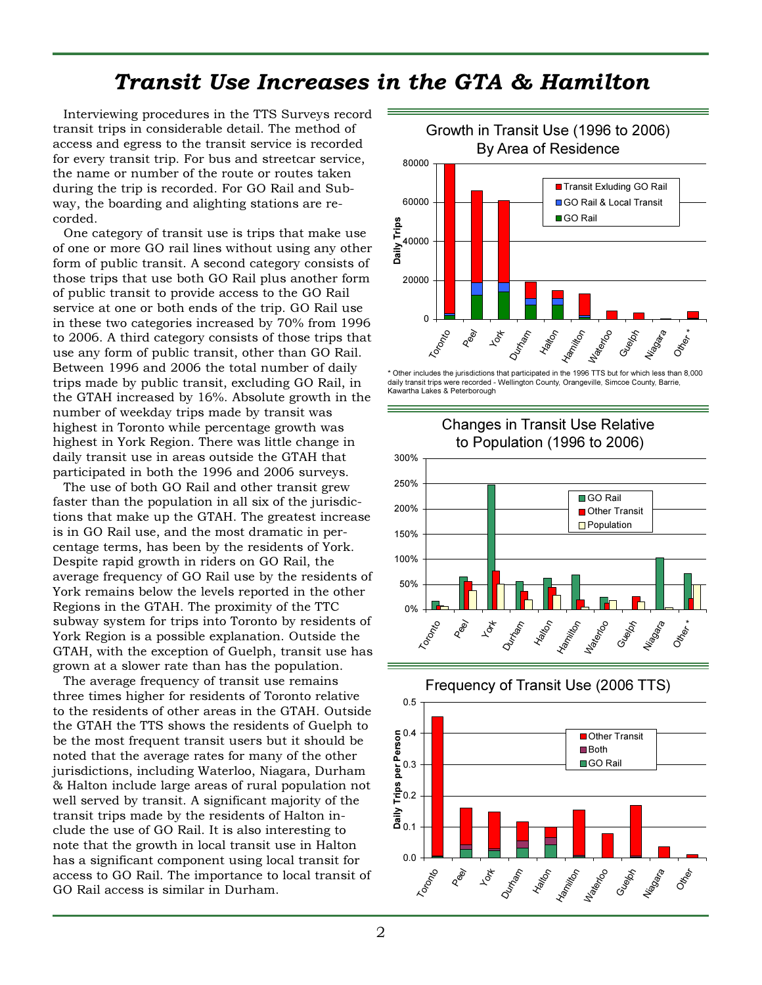#### Transit Use Increases in the GTA & Hamilton

Interviewing procedures in the TTS Surveys record transit trips in considerable detail. The method of access and egress to the transit service is recorded for every transit trip. For bus and streetcar service, the name or number of the route or routes taken during the trip is recorded. For GO Rail and Subway, the boarding and alighting stations are recorded.

One category of transit use is trips that make use of one or more GO rail lines without using any other form of public transit. A second category consists of those trips that use both GO Rail plus another form of public transit to provide access to the GO Rail service at one or both ends of the trip. GO Rail use in these two categories increased by 70% from 1996 to 2006. A third category consists of those trips that use any form of public transit, other than GO Rail. Between 1996 and 2006 the total number of daily trips made by public transit, excluding GO Rail, in the GTAH increased by 16%. Absolute growth in the number of weekday trips made by transit was highest in Toronto while percentage growth was highest in York Region. There was little change in daily transit use in areas outside the GTAH that participated in both the 1996 and 2006 surveys.

The use of both GO Rail and other transit grew faster than the population in all six of the jurisdictions that make up the GTAH. The greatest increase is in GO Rail use, and the most dramatic in percentage terms, has been by the residents of York. Despite rapid growth in riders on GO Rail, the average frequency of GO Rail use by the residents of York remains below the levels reported in the other Regions in the GTAH. The proximity of the TTC subway system for trips into Toronto by residents of York Region is a possible explanation. Outside the GTAH, with the exception of Guelph, transit use has grown at a slower rate than has the population.

The average frequency of transit use remains three times higher for residents of Toronto relative to the residents of other areas in the GTAH. Outside the GTAH the TTS shows the residents of Guelph to be the most frequent transit users but it should be noted that the average rates for many of the other jurisdictions, including Waterloo, Niagara, Durham & Halton include large areas of rural population not well served by transit. A significant majority of the transit trips made by the residents of Halton include the use of GO Rail. It is also interesting to note that the growth in local transit use in Halton has a significant component using local transit for access to GO Rail. The importance to local transit of GO Rail access is similar in Durham.



<sup>\*</sup> Other includes the jurisdictions that participated in the 1996 TTS but for which less than 8,000 daily transit trips were recorded - Wellington County, Orangeville, Simcoe County, Barrie, Kawartha Lakes & Peterborough





Frequency of Transit Use (2006 TTS)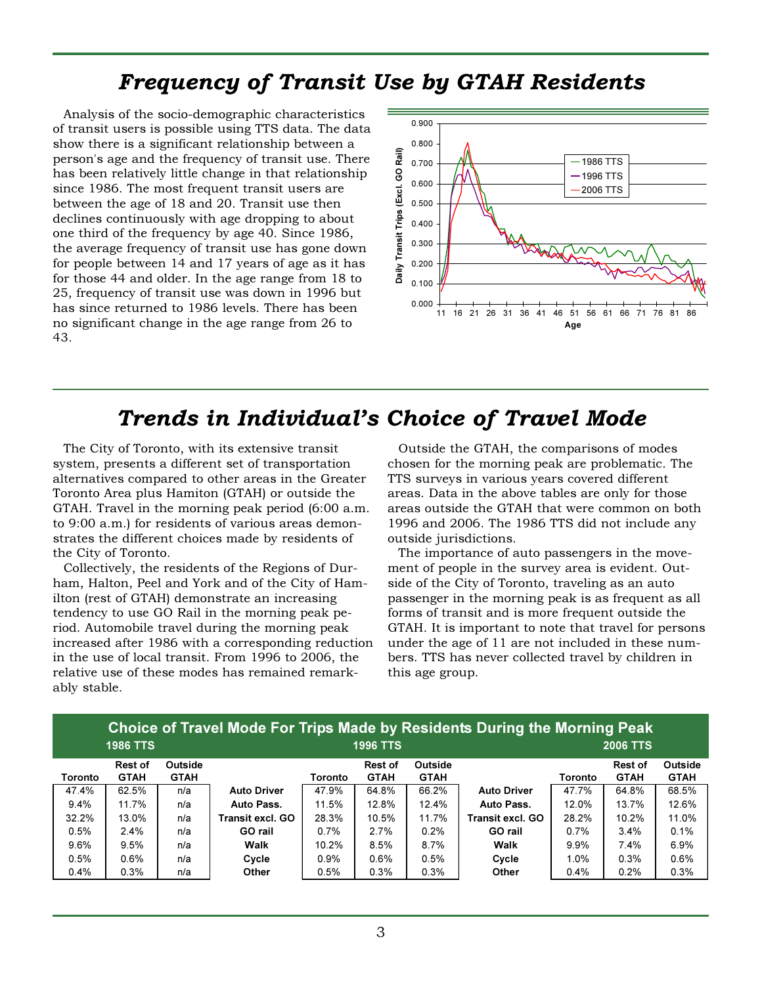### Frequency of Transit Use by GTAH Residents

Analysis of the socio-demographic characteristics of transit users is possible using TTS data. The data show there is a significant relationship between a person's age and the frequency of transit use. There has been relatively little change in that relationship since 1986. The most frequent transit users are between the age of 18 and 20. Transit use then declines continuously with age dropping to about one third of the frequency by age 40. Since 1986, the average frequency of transit use has gone down for people between 14 and 17 years of age as it has for those 44 and older. In the age range from 18 to 25, frequency of transit use was down in 1996 but has since returned to 1986 levels. There has been no significant change in the age range from 26 to 43.



### Trends in Individual's Choice of Travel Mode

The City of Toronto, with its extensive transit system, presents a different set of transportation alternatives compared to other areas in the Greater Toronto Area plus Hamiton (GTAH) or outside the GTAH. Travel in the morning peak period (6:00 a.m. to 9:00 a.m.) for residents of various areas demonstrates the different choices made by residents of the City of Toronto.

Collectively, the residents of the Regions of Durham, Halton, Peel and York and of the City of Hamilton (rest of GTAH) demonstrate an increasing tendency to use GO Rail in the morning peak period. Automobile travel during the morning peak increased after 1986 with a corresponding reduction in the use of local transit. From 1996 to 2006, the relative use of these modes has remained remarkably stable.

Outside the GTAH, the comparisons of modes chosen for the morning peak are problematic. The TTS surveys in various years covered different areas. Data in the above tables are only for those areas outside the GTAH that were common on both 1996 and 2006. The 1986 TTS did not include any outside jurisdictions.

The importance of auto passengers in the movement of people in the survey area is evident. Outside of the City of Toronto, traveling as an auto passenger in the morning peak is as frequent as all forms of transit and is more frequent outside the GTAH. It is important to note that travel for persons under the age of 11 are not included in these numbers. TTS has never collected travel by children in this age group.

| <u>UNULUT DI MUUT DI MIDI WAA MADA DI KESIDENG DUNING MUMINING FEAR</u> |                        |                               |                         |         |                               |                        |                    |                 |                        |                        |  |
|-------------------------------------------------------------------------|------------------------|-------------------------------|-------------------------|---------|-------------------------------|------------------------|--------------------|-----------------|------------------------|------------------------|--|
| <b>1986 TTS</b>                                                         |                        |                               | <b>1996 TTS</b>         |         |                               |                        |                    | <b>2006 TTS</b> |                        |                        |  |
| <b>Toronto</b>                                                          | Rest of<br><b>GTAH</b> | <b>Outside</b><br><b>GTAH</b> |                         | Toronto | <b>Rest of</b><br><b>GTAH</b> | Outside<br><b>GTAH</b> |                    | Toronto         | Rest of<br><b>GTAH</b> | Outside<br><b>GTAH</b> |  |
| 47.4%                                                                   | 62.5%                  | n/a                           | <b>Auto Driver</b>      | 47.9%   | 64.8%                         | 66.2%                  | <b>Auto Driver</b> | 47.7%           | 64.8%                  | 68.5%                  |  |
| 9.4%                                                                    | 11.7%                  | n/a                           | Auto Pass.              | 11.5%   | 12.8%                         | 12.4%                  | Auto Pass.         | 12.0%           | 13.7%                  | 12.6%                  |  |
| 32.2%                                                                   | 13.0%                  | n/a                           | <b>Transit excl. GO</b> | 28.3%   | 10.5%                         | 11.7%                  | Transit excl. GO   | 28.2%           | 10.2%                  | 11.0%                  |  |
| 0.5%                                                                    | 2.4%                   | n/a                           | GO rail                 | 0.7%    | 2.7%                          | $0.2\%$                | GO rail            | 0.7%            | 3.4%                   | 0.1%                   |  |
| 9.6%                                                                    | 9.5%                   | n/a                           | Walk                    | 10.2%   | 8.5%                          | 8.7%                   | Walk               | 9.9%            | 7.4%                   | 6.9%                   |  |
| 0.5%                                                                    | $0.6\%$                | n/a                           | Cycle                   | 0.9%    | 0.6%                          | 0.5%                   | Cycle              | 1.0%            | 0.3%                   | 0.6%                   |  |
| 0.4%                                                                    | 0.3%                   | n/a                           | Other                   | 0.5%    | 0.3%                          | 0.3%                   | <b>Other</b>       | 0.4%            | 0.2%                   | 0.3%                   |  |

## Choice of Travel Mode For Trips Made by Residents During the Morning Peak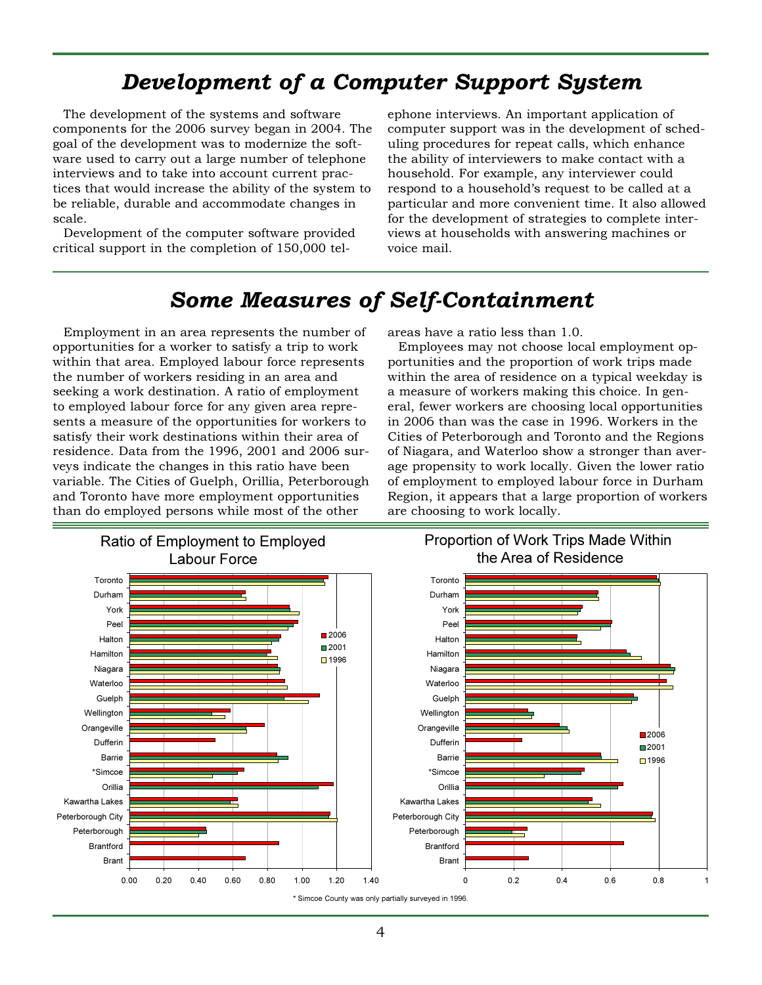## Development of a Computer Support System

The development of the systems and software components for the 2006 survey began in 2004. The goal of the development was to modernize the software used to carry out a large number of telephone interviews and to take into account current practices that would increase the ability of the system to be reliable, durable and accommodate changes in scale.

Development of the computer software provided critical support in the completion of 150,000 tel-

ephone interviews. An important application of computer support was in the development of scheduling procedures for repeat calls, which enhance the ability of interviewers to make contact with a household. For example, any interviewer could respond to a household's request to be called at a particular and more convenient time. It also allowed for the development of strategies to complete interviews at households with answering machines or voice mail.

### Some Measures of Self-Containment

Employment in an area represents the number of opportunities for a worker to satisfy a trip to work within that area. Employed labour force represents the number of workers residing in an area and seeking a work destination. A ratio of employment to employed labour force for any given area represents a measure of the opportunities for workers to satisfy their work destinations within their area of residence. Data from the 1996, 2001 and 2006 surveys indicate the changes in this ratio have been variable. The Cities of Guelph, Orillia, Peterborough and Toronto have more employment opportunities than do employed persons while most of the other

areas have a ratio less than 1.0.

Employees may not choose local employment opportunities and the proportion of work trips made within the area of residence on a typical weekday is a measure of workers making this choice. In general, fewer workers are choosing local opportunities in 2006 than was the case in 1996. Workers in the Cities of Peterborough and Toronto and the Regions of Niagara, and Waterloo show a stronger than average propensity to work locally. Given the lower ratio of employment to employed labour force in Durham Region, it appears that a large proportion of workers are choosing to work locally.

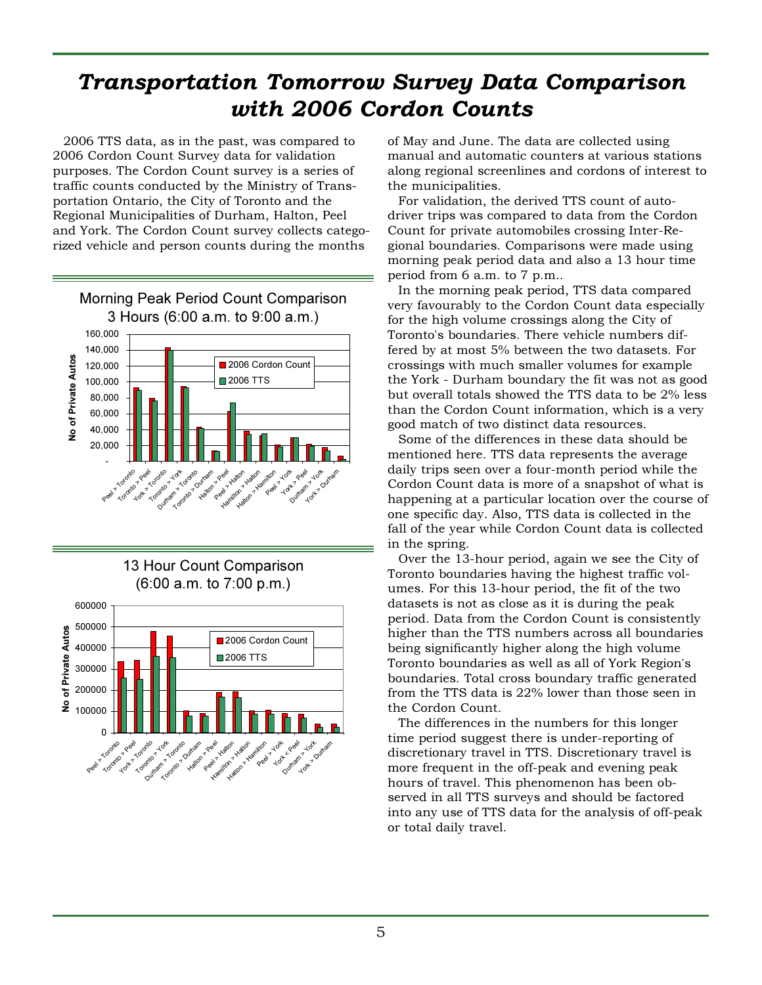## Transportation Tomorrow Survey Data Comparison with 2006 Cordon Counts

2006 TTS data, as in the past, was compared to 2006 Cordon Count Survey data for validation purposes. The Cordon Count survey is a series of traffic counts conducted by the Ministry of Transportation Ontario, the City of Toronto and the Regional Municipalities of Durham, Halton, Peel and York. The Cordon Count survey collects categorized vehicle and person counts during the months



13 Hour Count Comparison (6:00 a.m. to 7:00 p.m.)



of May and June. The data are collected using manual and automatic counters at various stations along regional screenlines and cordons of interest to the municipalities.

For validation, the derived TTS count of autodriver trips was compared to data from the Cordon Count for private automobiles crossing Inter-Regional boundaries. Comparisons were made using morning peak period data and also a 13 hour time period from 6 a.m. to 7 p.m..

In the morning peak period, TTS data compared very favourably to the Cordon Count data especially for the high volume crossings along the City of Toronto's boundaries. There vehicle numbers differed by at most 5% between the two datasets. For crossings with much smaller volumes for example the York - Durham boundary the fit was not as good but overall totals showed the TTS data to be 2% less than the Cordon Count information, which is a very good match of two distinct data resources.

Some of the differences in these data should be mentioned here. TTS data represents the average daily trips seen over a four-month period while the Cordon Count data is more of a snapshot of what is happening at a particular location over the course of one specific day. Also, TTS data is collected in the fall of the year while Cordon Count data is collected in the spring.

Over the 13-hour period, again we see the City of Toronto boundaries having the highest traffic volumes. For this 13-hour period, the fit of the two datasets is not as close as it is during the peak period. Data from the Cordon Count is consistently higher than the TTS numbers across all boundaries being significantly higher along the high volume Toronto boundaries as well as all of York Region's boundaries. Total cross boundary traffic generated from the TTS data is 22% lower than those seen in the Cordon Count.

The differences in the numbers for this longer time period suggest there is under-reporting of discretionary travel in TTS. Discretionary travel is more frequent in the off-peak and evening peak hours of travel. This phenomenon has been observed in all TTS surveys and should be factored into any use of TTS data for the analysis of off-peak or total daily travel.